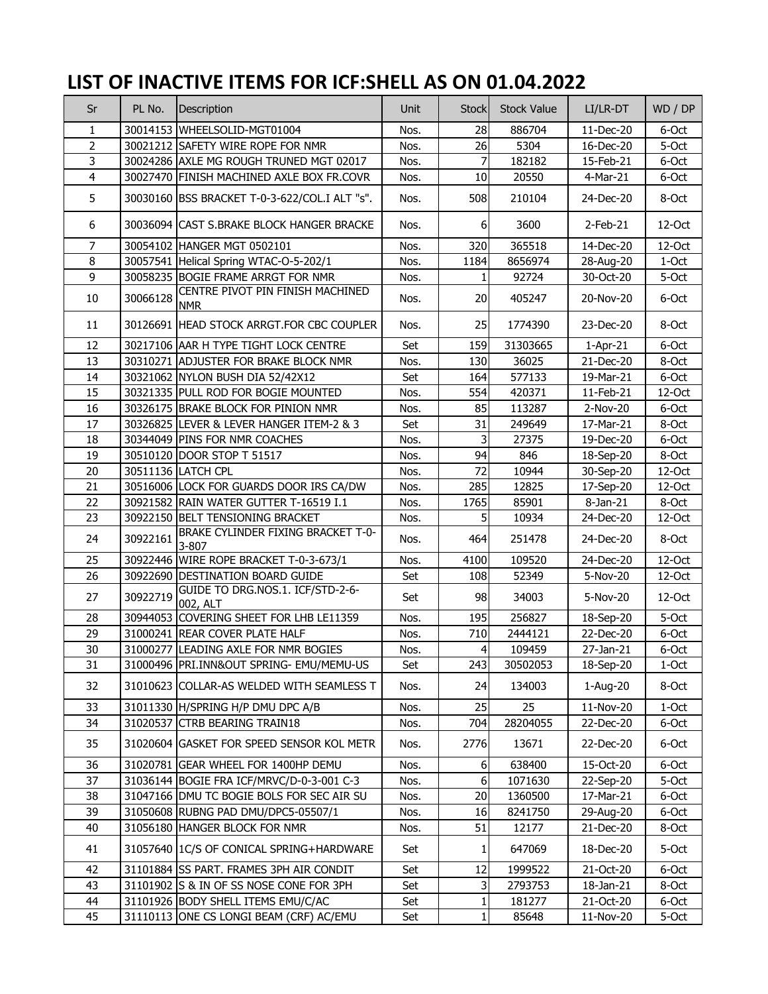## **LIST OF INACTIVE ITEMS FOR ICF:SHELL AS ON 01.04.2022**

| Sr                      | PL No.   | Description                                    | <b>Unit</b> | <b>Stock</b>     | <b>Stock Value</b> | LI/LR-DT               | WD / DP |
|-------------------------|----------|------------------------------------------------|-------------|------------------|--------------------|------------------------|---------|
| $\mathbf{1}$            |          | 30014153 WHEELSOLID-MGT01004                   | Nos.        | 28               | 886704             | 11-Dec-20              | 6-Oct   |
| $\overline{2}$          |          | 30021212 SAFETY WIRE ROPE FOR NMR              | Nos.        | 26               | 5304               | 16-Dec-20              | 5-Oct   |
| 3                       |          | 30024286 AXLE MG ROUGH TRUNED MGT 02017        | Nos.        | $\overline{7}$   | 182182             | 15-Feb-21              | 6-Oct   |
| $\overline{\mathbf{4}}$ |          | 30027470 FINISH MACHINED AXLE BOX FR.COVR      | Nos.        | 10               | 20550              | 4-Mar-21               | 6-Oct   |
| 5                       |          | 30030160 BSS BRACKET T-0-3-622/COL.I ALT "s".  | Nos.        | 508              | 210104             | 24-Dec-20              | 8-Oct   |
| 6                       |          | 30036094 CAST S.BRAKE BLOCK HANGER BRACKE      | Nos.        | 6                | 3600               | $2$ -Feb-21            | 12-Oct  |
| 7                       |          | 30054102 HANGER MGT 0502101                    | Nos.        | 320              | 365518             | 14-Dec-20              | 12-Oct  |
| 8                       |          | 30057541 Helical Spring WTAC-O-5-202/1         | Nos.        | 1184             | 8656974            | 28-Aug-20              | 1-Oct   |
| $\overline{9}$          |          | 30058235 BOGIE FRAME ARRGT FOR NMR             | Nos.        | $\mathbf{1}$     | 92724              | 30-Oct-20              | 5-Oct   |
| 10                      | 30066128 | CENTRE PIVOT PIN FINISH MACHINED<br><b>NMR</b> | Nos.        | 20               | 405247             | 20-Nov-20              | 6-Oct   |
| 11                      |          | 30126691 HEAD STOCK ARRGT.FOR CBC COUPLER      | Nos.        | 25               | 1774390            | 23-Dec-20              | 8-Oct   |
| 12                      |          | 30217106 AAR H TYPE TIGHT LOCK CENTRE          | Set         | 159              | 31303665           | $1-Apr-21$             | 6-Oct   |
| 13                      |          | 30310271 ADJUSTER FOR BRAKE BLOCK NMR          | Nos.        | 130              | 36025              | 21-Dec-20              | 8-Oct   |
| 14                      |          | 30321062 NYLON BUSH DIA 52/42X12               | Set         | 164              | 577133             | 19-Mar-21              | 6-Oct   |
| 15                      |          | 30321335 PULL ROD FOR BOGIE MOUNTED            | Nos.        | 554              | 420371             | 11-Feb-21              | 12-Oct  |
| 16                      |          | 30326175 BRAKE BLOCK FOR PINION NMR            | Nos.        | 85               | 113287             | 2-Nov-20               | 6-Oct   |
| 17                      |          | 30326825 LEVER & LEVER HANGER ITEM-2 & 3       | Set         | 31               | 249649             | 17-Mar-21              | 8-Oct   |
| 18                      |          | 30344049 PINS FOR NMR COACHES                  | Nos.        | 3                | 27375              | 19-Dec-20              | 6-Oct   |
| 19                      |          | 30510120 DOOR STOP T 51517                     | Nos.        | 94               | 846                | 18-Sep-20              | 8-Oct   |
| 20                      |          | 30511136 LATCH CPL                             | Nos.        | 72               | 10944              | 30-Sep-20              | 12-Oct  |
| 21                      |          | 30516006 LOCK FOR GUARDS DOOR IRS CA/DW        | Nos.        | 285              | 12825              | 17-Sep-20              | 12-Oct  |
| 22                      |          | 30921582 RAIN WATER GUTTER T-16519 I.1         | Nos.        | 1765             | 85901              | 8-Jan-21               | 8-Oct   |
| 23                      |          | 30922150 BELT TENSIONING BRACKET               | Nos.        | 5                | 10934              | 24-Dec-20              | 12-Oct  |
| 24                      | 30922161 | BRAKE CYLINDER FIXING BRACKET T-0-<br>3-807    | Nos.        | 464              | 251478             | 24-Dec-20              | 8-Oct   |
| 25                      |          | 30922446 WIRE ROPE BRACKET T-0-3-673/1         | Nos.        | 4100             | 109520             | 24-Dec-20              | 12-Oct  |
| 26                      |          | 30922690 DESTINATION BOARD GUIDE               | Set         | 108              | 52349              | $\overline{5}$ -Nov-20 | 12-Oct  |
| 27                      | 30922719 | GUIDE TO DRG.NOS.1. ICF/STD-2-6-<br>002, ALT   | Set         | 98               | 34003              | 5-Nov-20               | 12-Oct  |
| 28                      |          | 30944053 COVERING SHEET FOR LHB LE11359        | Nos.        | 195              | 256827             | 18-Sep-20              | 5-Oct   |
| 29                      |          | 31000241 REAR COVER PLATE HALF                 | Nos.        | 710              | 2444121            | 22-Dec-20              | 6-Oct   |
| 30                      |          | 31000277 LEADING AXLE FOR NMR BOGIES           | Nos.        | $\overline{4}$   | 109459             | 27-Jan-21              | 6-Oct   |
| 31                      |          | 31000496 PRI.INN&OUT SPRING- EMU/MEMU-US       | Set         | 243              | 30502053           | 18-Sep-20              | 1-Oct   |
| 32                      |          | 31010623 COLLAR-AS WELDED WITH SEAMLESS T      | Nos.        | 24               | 134003             | 1-Aug-20               | 8-Oct   |
| 33                      |          | 31011330 H/SPRING H/P DMU DPC A/B              | Nos.        | 25               | 25                 | 11-Nov-20              | 1-Oct   |
| 34                      |          | 31020537 CTRB BEARING TRAIN18                  | Nos.        | 704              | 28204055           | 22-Dec-20              | 6-Oct   |
| 35                      |          | 31020604 GASKET FOR SPEED SENSOR KOL METR      | Nos.        | 2776             | 13671              | 22-Dec-20              | 6-Oct   |
| 36                      |          | 31020781 GEAR WHEEL FOR 1400HP DEMU            | Nos.        | 6                | 638400             | 15-Oct-20              | 6-Oct   |
| 37                      |          | 31036144 BOGIE FRA ICF/MRVC/D-0-3-001 C-3      | Nos.        | $6 \overline{6}$ | 1071630            | 22-Sep-20              | 5-Oct   |
| 38                      |          | 31047166 DMU TC BOGIE BOLS FOR SEC AIR SU      | Nos.        | 20               | 1360500            | 17-Mar-21              | 6-Oct   |
| 39                      |          | 31050608 RUBNG PAD DMU/DPC5-05507/1            | Nos.        | 16               | 8241750            | 29-Aug-20              | 6-Oct   |
| 40                      |          | 31056180 HANGER BLOCK FOR NMR                  | Nos.        | 51               | 12177              | 21-Dec-20              | 8-Oct   |
| 41                      |          | 31057640 IC/S OF CONICAL SPRING+HARDWARE       | Set         | $1\vert$         | 647069             | 18-Dec-20              | 5-Oct   |
| 42                      |          | 31101884 SS PART. FRAMES 3PH AIR CONDIT        | Set         | 12               | 1999522            | 21-Oct-20              | 6-Oct   |
| 43                      |          | 31101902 S & IN OF SS NOSE CONE FOR 3PH        | Set         | 3                | 2793753            | 18-Jan-21              | 8-Oct   |
| 44                      |          | 31101926 BODY SHELL ITEMS EMU/C/AC             | Set         | $\mathbf{1}$     | 181277             | 21-Oct-20              | 6-Oct   |
| 45                      |          | 31110113 ONE CS LONGI BEAM (CRF) AC/EMU        | Set         | 1 <sup>1</sup>   | 85648              | 11-Nov-20              | 5-Oct   |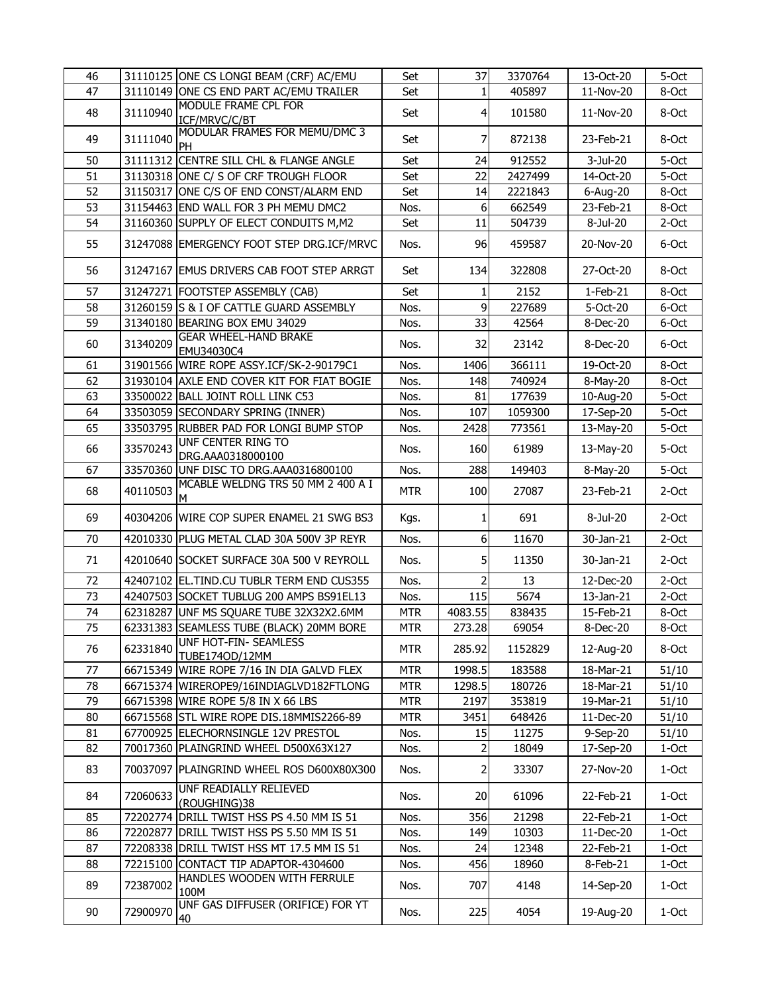| 46 |          | 31110125 ONE CS LONGI BEAM (CRF) AC/EMU        | Set        | 37             | 3370764 | 13-Oct-20   | 5-Oct    |
|----|----------|------------------------------------------------|------------|----------------|---------|-------------|----------|
| 47 |          | 31110149 ONE CS END PART AC/EMU TRAILER        | Set        | 1              | 405897  | 11-Nov-20   | 8-Oct    |
| 48 | 31110940 | MODULE FRAME CPL FOR<br>ICF/MRVC/C/BT          | Set        | $\overline{4}$ | 101580  | 11-Nov-20   | 8-Oct    |
| 49 | 31111040 | MODULAR FRAMES FOR MEMU/DMC 3<br>PH            | Set        | 7              | 872138  | 23-Feb-21   | 8-Oct    |
| 50 |          | 31111312 CENTRE SILL CHL & FLANGE ANGLE        | Set        | 24             | 912552  | 3-Jul-20    | 5-Oct    |
| 51 |          | 31130318 ONE C/ S OF CRF TROUGH FLOOR          | Set        | 22             | 2427499 | 14-Oct-20   | 5-Oct    |
| 52 |          | 31150317 ONE C/S OF END CONST/ALARM END        | Set        | 14             | 2221843 | 6-Aug-20    | 8-Oct    |
| 53 |          | 31154463 END WALL FOR 3 PH MEMU DMC2           | Nos.       | 6              | 662549  | 23-Feb-21   | 8-Oct    |
| 54 |          | 31160360 SUPPLY OF ELECT CONDUITS M, M2        | Set        | 11             | 504739  | 8-Jul-20    | 2-Oct    |
| 55 |          | 31247088 EMERGENCY FOOT STEP DRG.ICF/MRVC      | Nos.       | 96             | 459587  | 20-Nov-20   | 6-Oct    |
| 56 |          | 31247167 EMUS DRIVERS CAB FOOT STEP ARRGT      | Set        | 134            | 322808  | 27-Oct-20   | 8-Oct    |
| 57 |          | 31247271 FOOTSTEP ASSEMBLY (CAB)               | Set        |                | 2152    | $1-Feb-21$  | 8-Oct    |
| 58 |          | 31260159 S & I OF CATTLE GUARD ASSEMBLY        | Nos.       | $\overline{9}$ | 227689  | 5-Oct-20    | 6-Oct    |
| 59 |          | 31340180 BEARING BOX EMU 34029                 | Nos.       | 33             | 42564   | 8-Dec-20    | 6-Oct    |
| 60 | 31340209 | <b>GEAR WHEEL-HAND BRAKE</b><br>EMU34030C4     | Nos.       | 32             | 23142   | 8-Dec-20    | 6-Oct    |
| 61 |          | 31901566 WIRE ROPE ASSY.ICF/SK-2-90179C1       | Nos.       | 1406           | 366111  | 19-Oct-20   | 8-Oct    |
| 62 |          | 31930104 AXLE END COVER KIT FOR FIAT BOGIE     | Nos.       | 148            | 740924  | 8-May-20    | 8-Oct    |
| 63 |          | 33500022 BALL JOINT ROLL LINK C53              | Nos.       | 81             | 177639  | 10-Aug-20   | 5-Oct    |
| 64 |          | 33503059 SECONDARY SPRING (INNER)              | Nos.       | 107            | 1059300 | 17-Sep-20   | 5-Oct    |
| 65 |          | 33503795 RUBBER PAD FOR LONGI BUMP STOP        | Nos.       | 2428           | 773561  | 13-May-20   | 5-Oct    |
| 66 | 33570243 | <b>UNF CENTER RING TO</b><br>DRG.AAA0318000100 | Nos.       | 160            | 61989   | 13-May-20   | 5-Oct    |
| 67 |          | 33570360 UNF DISC TO DRG.AAA0316800100         | Nos.       | 288            | 149403  | 8-May-20    | 5-Oct    |
| 68 | 40110503 | MCABLE WELDNG TRS 50 MM 2 400 A I<br>М         | <b>MTR</b> | 100            | 27087   | 23-Feb-21   | 2-Oct    |
| 69 |          | 40304206 WIRE COP SUPER ENAMEL 21 SWG BS3      | Kgs.       | 1              | 691     | 8-Jul-20    | $2-Oct$  |
| 70 |          | 42010330 PLUG METAL CLAD 30A 500V 3P REYR      | Nos.       | 6              | 11670   | 30-Jan-21   | 2-Oct    |
| 71 |          | 42010640 SOCKET SURFACE 30A 500 V REYROLL      | Nos.       | 5              | 11350   | 30-Jan-21   | 2-Oct    |
| 72 |          | 42407102 EL.TIND.CU TUBLR TERM END CUS355      | Nos.       | 2              | 13      | 12-Dec-20   | 2-Oct    |
| 73 |          | 42407503 SOCKET TUBLUG 200 AMPS BS91EL13       | Nos.       | 115            | 5674    | 13-Jan-21   | 2-Oct    |
| 74 |          | 62318287 UNF MS SQUARE TUBE 32X32X2.6MM        | <b>MTR</b> | 4083.55        | 838435  | 15-Feb-21   | 8-Oct    |
| 75 |          | 62331383 SEAMLESS TUBE (BLACK) 20MM BORE       | <b>MTR</b> | 273.28         | 69054   | $8$ -Dec-20 | 8-Oct    |
| 76 | 62331840 | UNF HOT-FIN- SEAMLESS<br>TUBE1740D/12MM        | <b>MTR</b> | 285.92         | 1152829 | 12-Aug-20   | 8-Oct    |
| 77 |          | 66715349 WIRE ROPE 7/16 IN DIA GALVD FLEX      | <b>MTR</b> | 1998.5         | 183588  | 18-Mar-21   | 51/10    |
| 78 |          | 66715374 WIREROPE9/16INDIAGLVD182FTLONG        | <b>MTR</b> | 1298.5         | 180726  | 18-Mar-21   | 51/10    |
| 79 |          | 66715398 WIRE ROPE 5/8 IN X 66 LBS             | <b>MTR</b> | 2197           | 353819  | 19-Mar-21   | 51/10    |
| 80 |          | 66715568 STL WIRE ROPE DIS.18MMIS2266-89       | MTR        | 3451           | 648426  | 11-Dec-20   | 51/10    |
| 81 |          | 67700925 ELECHORNSINGLE 12V PRESTOL            | Nos.       | 15             | 11275   | 9-Sep-20    | 51/10    |
| 82 |          | 70017360 PLAINGRIND WHEEL D500X63X127          | Nos.       | 2              | 18049   | 17-Sep-20   | 1-Oct    |
| 83 |          | 70037097 PLAINGRIND WHEEL ROS D600X80X300      | Nos.       | $\overline{2}$ | 33307   | 27-Nov-20   | 1-Oct    |
| 84 | 72060633 | UNF READIALLY RELIEVED<br>(ROUGHING)38         | Nos.       | 20             | 61096   | 22-Feb-21   | 1-Oct    |
| 85 |          | 72202774 DRILL TWIST HSS PS 4.50 MM IS 51      | Nos.       | 356            | 21298   | 22-Feb-21   | 1-Oct    |
| 86 |          | 72202877 DRILL TWIST HSS PS 5.50 MM IS 51      | Nos.       | 149            | 10303   | 11-Dec-20   | 1-Oct    |
| 87 |          | 72208338 DRILL TWIST HSS MT 17.5 MM IS 51      | Nos.       | 24             | 12348   | 22-Feb-21   | 1-Oct    |
| 88 |          | 72215100 CONTACT TIP ADAPTOR-4304600           | Nos.       | 456            | 18960   | 8-Feb-21    | 1-Oct    |
| 89 | 72387002 | HANDLES WOODEN WITH FERRULE<br>100M            | Nos.       | 707            | 4148    | 14-Sep-20   | 1-Oct    |
| 90 | 72900970 | UNF GAS DIFFUSER (ORIFICE) FOR YT<br> 40       | Nos.       | 225            | 4054    | 19-Aug-20   | $1$ -Oct |